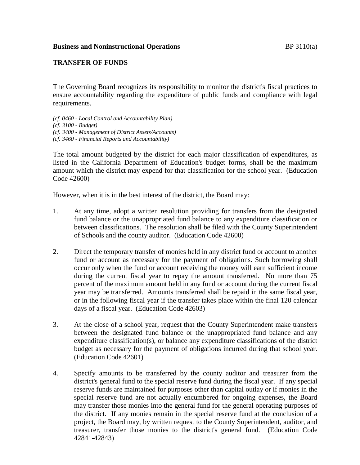## **TRANSFER OF FUNDS**

The Governing Board recognizes its responsibility to monitor the district's fiscal practices to ensure accountability regarding the expenditure of public funds and compliance with legal requirements.

*(cf. 0460 - Local Control and Accountability Plan) (cf. 3100 - Budget) (cf. 3400 - Management of District Assets/Accounts) (cf. 3460 - Financial Reports and Accountability)*

The total amount budgeted by the district for each major classification of expenditures, as listed in the California Department of Education's budget forms, shall be the maximum amount which the district may expend for that classification for the school year. (Education Code 42600)

However, when it is in the best interest of the district, the Board may:

- 1. At any time, adopt a written resolution providing for transfers from the designated fund balance or the unappropriated fund balance to any expenditure classification or between classifications. The resolution shall be filed with the County Superintendent of Schools and the county auditor. (Education Code 42600)
- 2. Direct the temporary transfer of monies held in any district fund or account to another fund or account as necessary for the payment of obligations. Such borrowing shall occur only when the fund or account receiving the money will earn sufficient income during the current fiscal year to repay the amount transferred. No more than 75 percent of the maximum amount held in any fund or account during the current fiscal year may be transferred. Amounts transferred shall be repaid in the same fiscal year, or in the following fiscal year if the transfer takes place within the final 120 calendar days of a fiscal year. (Education Code 42603)
- 3. At the close of a school year, request that the County Superintendent make transfers between the designated fund balance or the unappropriated fund balance and any expenditure classification(s), or balance any expenditure classifications of the district budget as necessary for the payment of obligations incurred during that school year. (Education Code 42601)
- 4. Specify amounts to be transferred by the county auditor and treasurer from the district's general fund to the special reserve fund during the fiscal year. If any special reserve funds are maintained for purposes other than capital outlay or if monies in the special reserve fund are not actually encumbered for ongoing expenses, the Board may transfer those monies into the general fund for the general operating purposes of the district. If any monies remain in the special reserve fund at the conclusion of a project, the Board may, by written request to the County Superintendent, auditor, and treasurer, transfer those monies to the district's general fund. (Education Code 42841-42843)